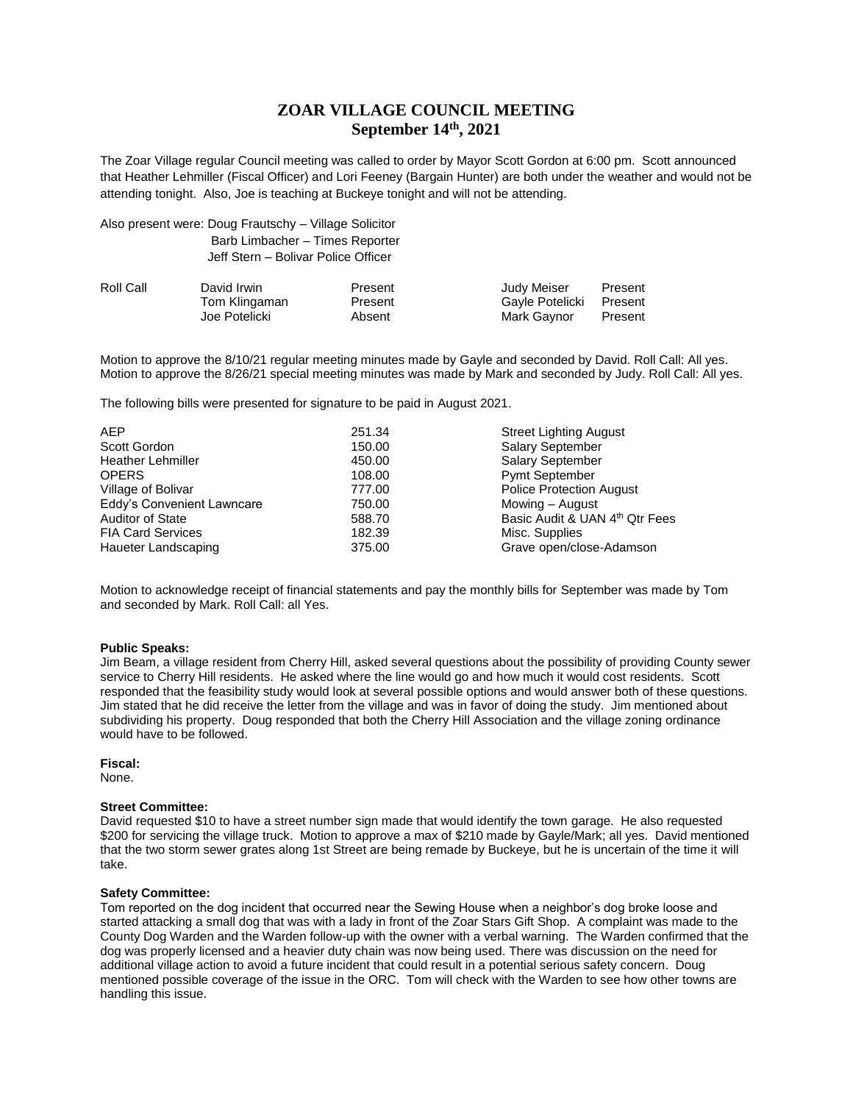# **ZOAR VILLAGE COUNCIL MEETING September 14th, 2021**

The Zoar Village regular Council meeting was called to order by Mayor Scott Gordon at 6:00 pm. Scott announced that Heather Lehmiller (Fiscal Officer) and Lori Feeney (Bargain Hunter) are both under the weather and would not be attending tonight. Also, Joe is teaching at Buckeye tonight and will not be attending.

| Also present were: Doug Frautschy - Village Solicitor |  |
|-------------------------------------------------------|--|
| Barb Limbacher - Times Reporter                       |  |
| Jeff Stern - Bolivar Police Officer                   |  |

| Roll Call | David Irwin   | Present | Judy Meiser             | Present |
|-----------|---------------|---------|-------------------------|---------|
|           | Tom Klingaman | Present | Gayle Potelicki Present |         |
|           | Joe Potelicki | Absent  | Mark Gaynor             | Present |

Motion to approve the 8/10/21 regular meeting minutes made by Gayle and seconded by David. Roll Call: All yes. Motion to approve the 8/26/21 special meeting minutes was made by Mark and seconded by Judy. Roll Call: All yes.

The following bills were presented for signature to be paid in August 2021.

| AEP                        | 251.34 | <b>Street Lighting August</b>   |
|----------------------------|--------|---------------------------------|
| Scott Gordon               | 150.00 | <b>Salary September</b>         |
| <b>Heather Lehmiller</b>   | 450.00 | <b>Salary September</b>         |
| <b>OPERS</b>               | 108.00 | <b>Pymt September</b>           |
| Village of Bolivar         | 777.00 | <b>Police Protection August</b> |
| Eddy's Convenient Lawncare | 750.00 | Mowing - August                 |
| <b>Auditor of State</b>    | 588.70 | Basic Audit & UAN 4th Qtr Fees  |
| <b>FIA Card Services</b>   | 182.39 | Misc. Supplies                  |
| Haueter Landscaping        | 375.00 | Grave open/close-Adamson        |

Motion to acknowledge receipt of financial statements and pay the monthly bills for September was made by Tom and seconded by Mark. Roll Call: all Yes.

#### **Public Speaks:**

Jim Beam, a village resident from Cherry Hill, asked several questions about the possibility of providing County sewer service to Cherry Hill residents. He asked where the line would go and how much it would cost residents. Scott responded that the feasibility study would look at several possible options and would answer both of these questions. Jim stated that he did receive the letter from the village and was in favor of doing the study. Jim mentioned about subdividing his property. Doug responded that both the Cherry Hill Association and the village zoning ordinance would have to be followed.

**Fiscal:**

None.

## **Street Committee:**

David requested \$10 to have a street number sign made that would identify the town garage. He also requested \$200 for servicing the village truck. Motion to approve a max of \$210 made by Gayle/Mark; all yes. David mentioned that the two storm sewer grates along 1st Street are being remade by Buckeye, but he is uncertain of the time it will take.

#### **Safety Committee:**

Tom reported on the dog incident that occurred near the Sewing House when a neighbor's dog broke loose and started attacking a small dog that was with a lady in front of the Zoar Stars Gift Shop. A complaint was made to the County Dog Warden and the Warden follow-up with the owner with a verbal warning. The Warden confirmed that the dog was properly licensed and a heavier duty chain was now being used. There was discussion on the need for additional village action to avoid a future incident that could result in a potential serious safety concern. Doug mentioned possible coverage of the issue in the ORC. Tom will check with the Warden to see how other towns are handling this issue.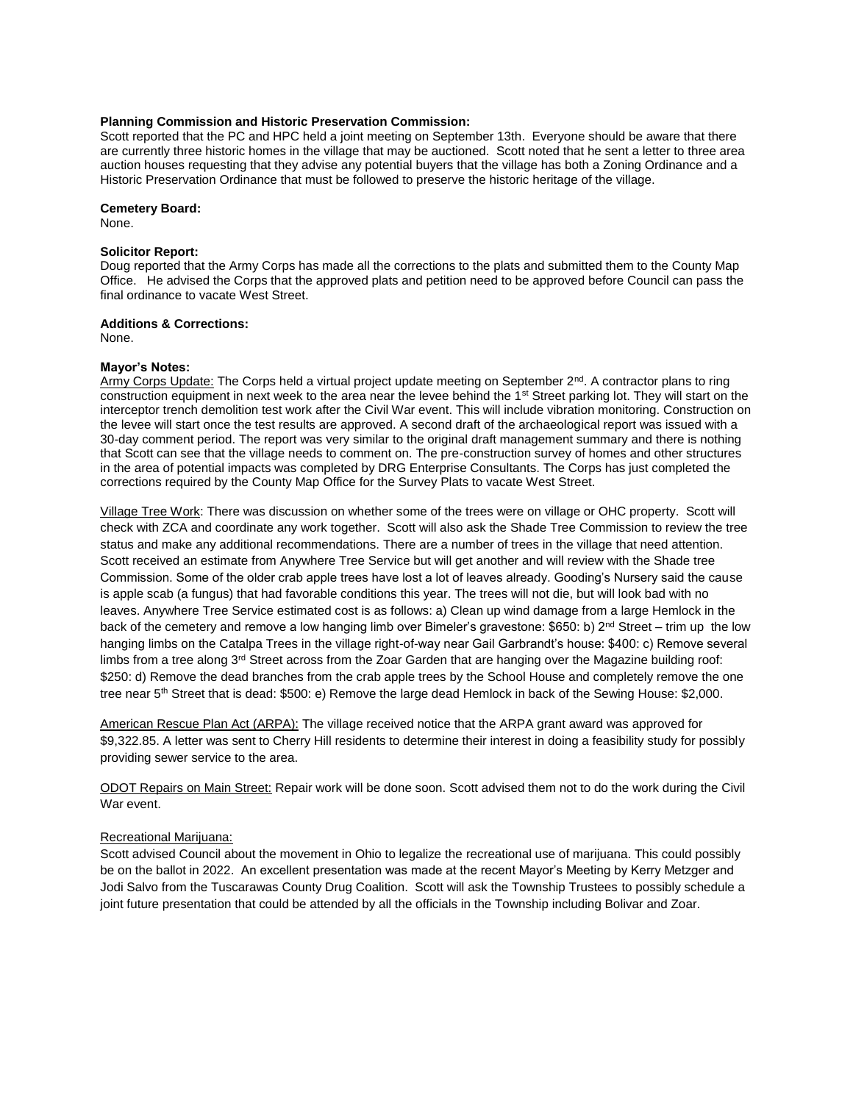#### **Planning Commission and Historic Preservation Commission:**

Scott reported that the PC and HPC held a joint meeting on September 13th. Everyone should be aware that there are currently three historic homes in the village that may be auctioned. Scott noted that he sent a letter to three area auction houses requesting that they advise any potential buyers that the village has both a Zoning Ordinance and a Historic Preservation Ordinance that must be followed to preserve the historic heritage of the village.

## **Cemetery Board:**

None.

## **Solicitor Report:**

Doug reported that the Army Corps has made all the corrections to the plats and submitted them to the County Map Office. He advised the Corps that the approved plats and petition need to be approved before Council can pass the final ordinance to vacate West Street.

#### **Additions & Corrections:**

None.

### **Mayor's Notes:**

Army Corps Update: The Corps held a virtual project update meeting on September 2<sup>nd</sup>. A contractor plans to ring construction equipment in next week to the area near the levee behind the 1<sup>st</sup> Street parking lot. They will start on the interceptor trench demolition test work after the Civil War event. This will include vibration monitoring. Construction on the levee will start once the test results are approved. A second draft of the archaeological report was issued with a 30-day comment period. The report was very similar to the original draft management summary and there is nothing that Scott can see that the village needs to comment on. The pre-construction survey of homes and other structures in the area of potential impacts was completed by DRG Enterprise Consultants. The Corps has just completed the corrections required by the County Map Office for the Survey Plats to vacate West Street.

Village Tree Work: There was discussion on whether some of the trees were on village or OHC property. Scott will check with ZCA and coordinate any work together. Scott will also ask the Shade Tree Commission to review the tree status and make any additional recommendations. There are a number of trees in the village that need attention. Scott received an estimate from Anywhere Tree Service but will get another and will review with the Shade tree Commission. Some of the older crab apple trees have lost a lot of leaves already. Gooding's Nursery said the cause is apple scab (a fungus) that had favorable conditions this year. The trees will not die, but will look bad with no leaves. Anywhere Tree Service estimated cost is as follows: a) Clean up wind damage from a large Hemlock in the back of the cemetery and remove a low hanging limb over Bimeler's gravestone: \$650: b)  $2^{nd}$  Street – trim up the low hanging limbs on the Catalpa Trees in the village right-of-way near Gail Garbrandt's house: \$400: c) Remove several limbs from a tree along  $3<sup>rd</sup>$  Street across from the Zoar Garden that are hanging over the Magazine building roof: \$250: d) Remove the dead branches from the crab apple trees by the School House and completely remove the one tree near 5<sup>th</sup> Street that is dead: \$500: e) Remove the large dead Hemlock in back of the Sewing House: \$2,000.

American Rescue Plan Act (ARPA): The village received notice that the ARPA grant award was approved for \$9,322.85. A letter was sent to Cherry Hill residents to determine their interest in doing a feasibility study for possibly providing sewer service to the area.

ODOT Repairs on Main Street: Repair work will be done soon. Scott advised them not to do the work during the Civil War event.

## Recreational Marijuana:

Scott advised Council about the movement in Ohio to legalize the recreational use of marijuana. This could possibly be on the ballot in 2022. An excellent presentation was made at the recent Mayor's Meeting by Kerry Metzger and Jodi Salvo from the Tuscarawas County Drug Coalition. Scott will ask the Township Trustees to possibly schedule a joint future presentation that could be attended by all the officials in the Township including Bolivar and Zoar.